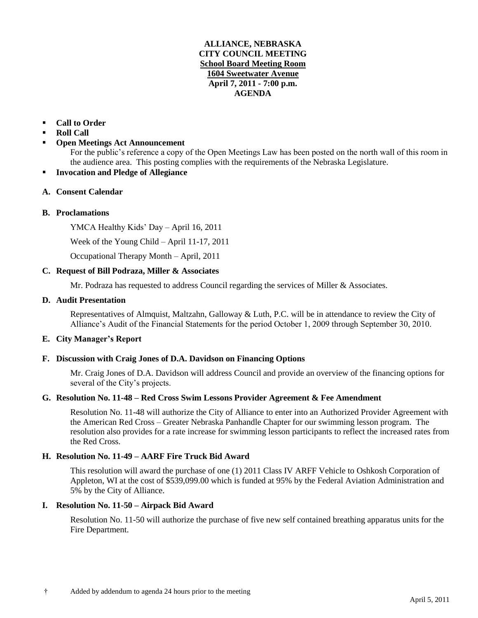## **ALLIANCE, NEBRASKA CITY COUNCIL MEETING School Board Meeting Room 1604 Sweetwater Avenue April 7, 2011 - 7:00 p.m. AGENDA**

# **Call to Order**

- **Roll Call**
- **Open Meetings Act Announcement**

For the public's reference a copy of the Open Meetings Law has been posted on the north wall of this room in the audience area. This posting complies with the requirements of the Nebraska Legislature.

**Invocation and Pledge of Allegiance**

## **A. Consent Calendar**

## **B. Proclamations**

YMCA Healthy Kids' Day – April 16, 2011

Week of the Young Child – April 11-17, 2011

Occupational Therapy Month – April, 2011

## **C. Request of Bill Podraza, Miller & Associates**

Mr. Podraza has requested to address Council regarding the services of Miller & Associates.

## **D. Audit Presentation**

Representatives of Almquist, Maltzahn, Galloway & Luth, P.C. will be in attendance to review the City of Alliance's Audit of the Financial Statements for the period October 1, 2009 through September 30, 2010.

## **E. City Manager's Report**

## **F. Discussion with Craig Jones of D.A. Davidson on Financing Options**

Mr. Craig Jones of D.A. Davidson will address Council and provide an overview of the financing options for several of the City's projects.

## **G. Resolution No. 11-48 – Red Cross Swim Lessons Provider Agreement & Fee Amendment**

Resolution No. 11-48 will authorize the City of Alliance to enter into an Authorized Provider Agreement with the American Red Cross – Greater Nebraska Panhandle Chapter for our swimming lesson program. The resolution also provides for a rate increase for swimming lesson participants to reflect the increased rates from the Red Cross.

# **H. Resolution No. 11-49 – AARF Fire Truck Bid Award**

This resolution will award the purchase of one (1) 2011 Class IV ARFF Vehicle to Oshkosh Corporation of Appleton, WI at the cost of \$539,099.00 which is funded at 95% by the Federal Aviation Administration and 5% by the City of Alliance.

### **I. Resolution No. 11-50 – Airpack Bid Award**

Resolution No. 11-50 will authorize the purchase of five new self contained breathing apparatus units for the Fire Department.